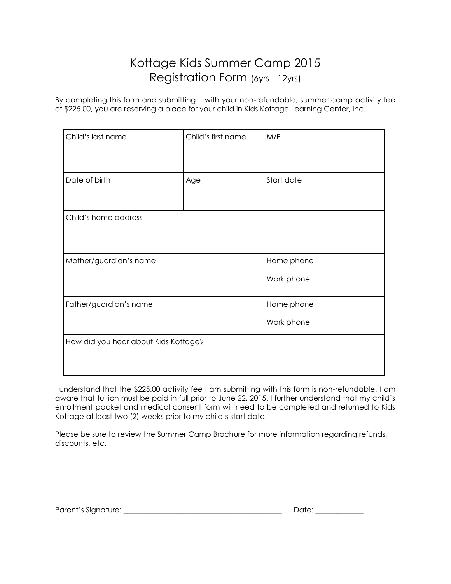## Kottage Kids Summer Camp 2015 Registration Form (6yrs - 12yrs)

By completing this form and submitting it with your non-refundable, summer camp activity fee of \$225.00, you are reserving a place for your child in Kids Kottage Learning Center, Inc.

| Child's last name                    | Child's first name | M/F        |  |  |
|--------------------------------------|--------------------|------------|--|--|
|                                      |                    |            |  |  |
| Date of birth                        | Age                | Start date |  |  |
|                                      |                    |            |  |  |
| Child's home address                 |                    |            |  |  |
|                                      |                    |            |  |  |
| Mother/guardian's name               |                    | Home phone |  |  |
|                                      |                    | Work phone |  |  |
| Father/guardian's name               |                    | Home phone |  |  |
|                                      |                    | Work phone |  |  |
| How did you hear about Kids Kottage? |                    |            |  |  |
|                                      |                    |            |  |  |

I understand that the \$225.00 activity fee I am submitting with this form is non-refundable. I am aware that tuition must be paid in full prior to June 22, 2015. I further understand that my child's enrollment packet and medical consent form will need to be completed and returned to Kids Kottage at least two (2) weeks prior to my child's start date.

Please be sure to review the Summer Camp Brochure for more information regarding refunds, discounts, etc.

| Parent's Signature: |  |  |
|---------------------|--|--|
|                     |  |  |